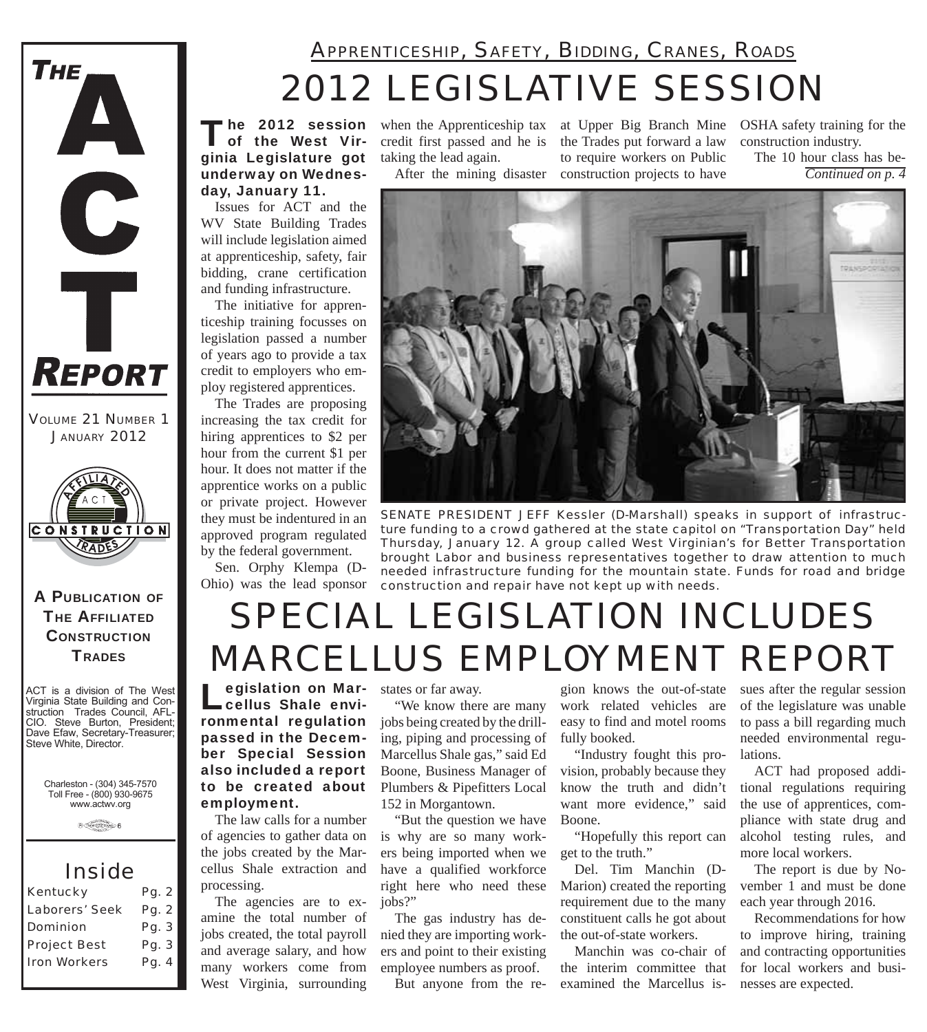

*VOLUME 21 NUMBER 1 JANUARY 2012*



A PUBLICATION OF **THE AFFILIATED CONSTRUCTION TRADES** 

ACT is a division of The West Virginia State Building and Construction Trades Council, AFL-CIO. Steve Burton, President; Dave Efaw, Secretary-Treasurer; Steve White, Director.

Charleston - (304) 345-7570 Toll Free - (800) 930-9675 www.actwv.org

 $\theta$  (restrictions)  $6$ 

### *Inside*

| <b>Kentucky</b>     | Pg. 2 |
|---------------------|-------|
| Laborers' Seek      | Pg. 2 |
| <b>Dominion</b>     | Pg. 3 |
| <b>Project Best</b> | Pg. 3 |
| <b>Iron Workers</b> | Pg. 4 |
|                     |       |

### *2012 LEGISLATIVE SESSION APPRENTICESHIP, SAFETY, BIDDING, CRANES, ROADS*

The 2012 session<br>
of the West Virginia Legislature got underway on Wednesday, January 11.

Issues for ACT and the WV State Building Trades will include legislation aimed at apprenticeship, safety, fair bidding, crane certification and funding infrastructure.

The initiative for apprenticeship training focusses on legislation passed a number of years ago to provide a tax credit to employers who employ registered apprentices.

The Trades are proposing increasing the tax credit for hiring apprentices to \$2 per hour from the current \$1 per hour. It does not matter if the apprentice works on a public or private project. However they must be indentured in an approved program regulated by the federal government.

Sen. Orphy Klempa (D-Ohio) was the lead sponsor credit first passed and he is taking the lead again.

when the Apprenticeship tax at Upper Big Branch Mine OSHA safety training for the After the mining disaster construction projects to have the Trades put forward a law to require workers on Public

construction industry.

The 10 hour class has be-*Continued on p. 4*



*SENATE PRESIDENT JEFF Kessler (D-Marshall) speaks in support of infrastructure funding to a crowd gathered at the state capitol on "Transportation Day" held Thursday, January 12. A group called West Virginian's for Better Transportation brought Labor and business representatives together to draw attention to much needed infrastructure funding for the mountain state. Funds for road and bridge construction and repair have not kept up with needs.*

## *SPECIAL LEGISLATION INCLUDES MARCELLUS EMPLOYMENT REPORT*

**Legislation on Mar-**<br>Cellus Shale environmental regulation passed in the December Special Session also included a report to be created about employment.

The law calls for a number of agencies to gather data on the jobs created by the Marcellus Shale extraction and processing.

The agencies are to examine the total number of jobs created, the total payroll and average salary, and how many workers come from West Virginia, surrounding

states or far away.

"We know there are many jobs being created by the drilling, piping and processing of Marcellus Shale gas," said Ed Boone, Business Manager of Plumbers & Pipefitters Local 152 in Morgantown.

"But the question we have is why are so many workers being imported when we have a qualified workforce right here who need these jobs?"

The gas industry has denied they are importing workers and point to their existing employee numbers as proof.

But anyone from the re-

gion knows the out-of-state work related vehicles are easy to find and motel rooms fully booked.

"Industry fought this provision, probably because they know the truth and didn't want more evidence," said Boone.

"Hopefully this report can get to the truth."

Del. Tim Manchin (D-Marion) created the reporting requirement due to the many constituent calls he got about the out-of-state workers.

Manchin was co-chair of the interim committee that examined the Marcellus is-

sues after the regular session of the legislature was unable to pass a bill regarding much needed environmental regulations.

ACT had proposed additional regulations requiring the use of apprentices, compliance with state drug and alcohol testing rules, and more local workers.

The report is due by November 1 and must be done each year through 2016.

Recommendations for how to improve hiring, training and contracting opportunities for local workers and businesses are expected.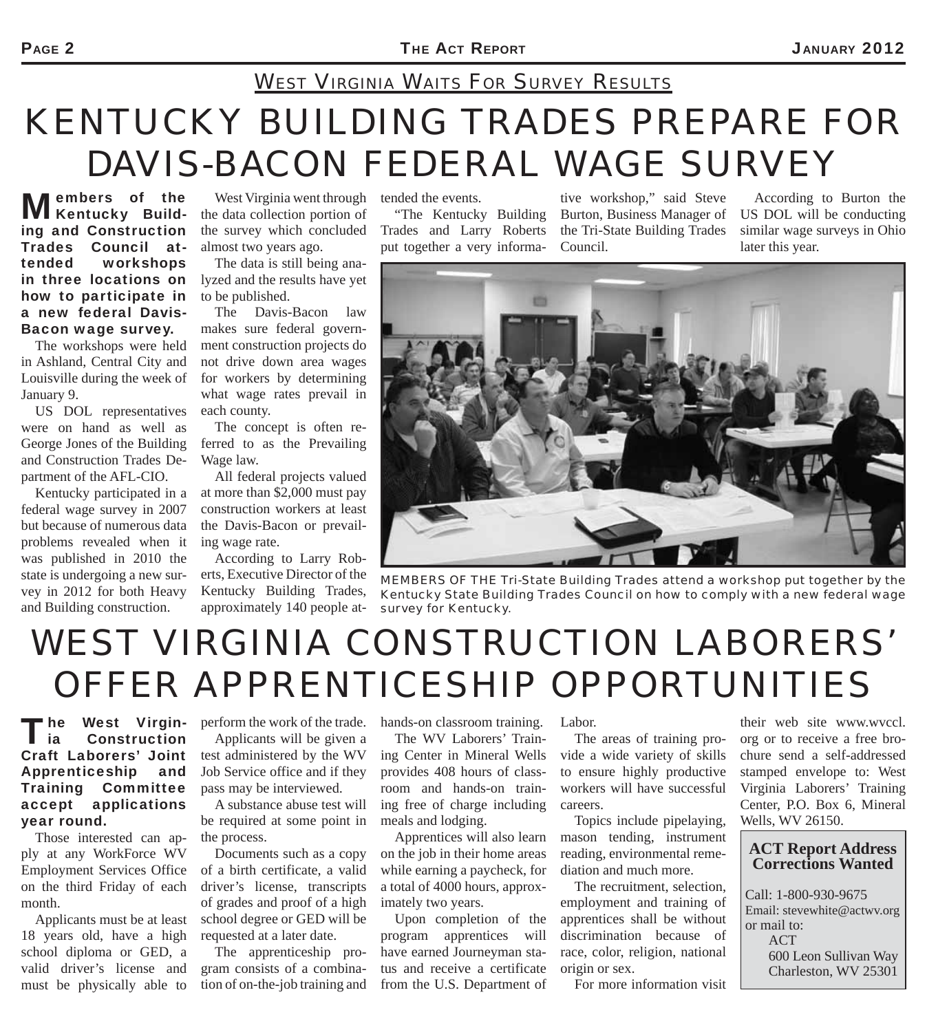### *WEST VIRGINIA WAITS FOR SURVEY RESULTS*

# *KENTUCKY BUILDING TRADES PREPARE FOR DAVIS-BACON FEDERAL WAGE SURVEY*

Members of the **Members** ing and Construction Trades Council attended workshops in three locations on how to participate in a new federal Davis-Bacon wage survey.

The workshops were held in Ashland, Central City and Louisville during the week of January 9.

US DOL representatives were on hand as well as George Jones of the Building and Construction Trades Department of the AFL-CIO.

Kentucky participated in a federal wage survey in 2007 but because of numerous data problems revealed when it was published in 2010 the state is undergoing a new survey in 2012 for both Heavy and Building construction.

West Virginia went through tended the events. the data collection portion of the survey which concluded almost two years ago.

The data is still being analyzed and the results have yet to be published.

The Davis-Bacon law makes sure federal government construction projects do not drive down area wages for workers by determining what wage rates prevail in each county.

The concept is often referred to as the Prevailing Wage law.

All federal projects valued at more than \$2,000 must pay construction workers at least the Davis-Bacon or prevailing wage rate.

According to Larry Roberts, Executive Director of the Kentucky Building Trades, approximately 140 people at-

"The Kentucky Building Trades and Larry Roberts put together a very informa-

tive workshop," said Steve Burton, Business Manager of the Tri-State Building Trades Council.

According to Burton the US DOL will be conducting similar wage surveys in Ohio later this year.



*MEMBERS OF THE Tri-State Building Trades attend a workshop put together by the Kentucky State Building Trades Council on how to comply with a new federal wage survey for Kentucky.*

## *WEST VIRGINIA CONSTRUCTION LABORERS' OFFER APPRENTICESHIP OPPORTUNITIES*

**The West Virgin-<br>Lia Construction** Construction Craft Laborers' Joint Apprenticeship and Training Committee accept applications year round.

Those interested can apply at any WorkForce WV Employment Services Office on the third Friday of each month.

Applicants must be at least 18 years old, have a high school diploma or GED, a valid driver's license and must be physically able to

perform the work of the trade. Applicants will be given a test administered by the WV Job Service office and if they pass may be interviewed.

A substance abuse test will be required at some point in the process.

Documents such as a copy of a birth certificate, a valid driver's license, transcripts of grades and proof of a high school degree or GED will be requested at a later date.

The apprenticeship program consists of a combination of on-the-job training and hands-on classroom training.

The WV Laborers' Training Center in Mineral Wells provides 408 hours of classroom and hands-on training free of charge including meals and lodging.

Apprentices will also learn on the job in their home areas while earning a paycheck, for a total of 4000 hours, approximately two years.

Upon completion of the program apprentices will have earned Journeyman status and receive a certificate from the U.S. Department of

Labor.

The areas of training provide a wide variety of skills to ensure highly productive workers will have successful careers.

Topics include pipelaying, mason tending, instrument reading, environmental remediation and much more.

The recruitment, selection, employment and training of apprentices shall be without discrimination because of race, color, religion, national origin or sex.

For more information visit

their web site www.wvccl. org or to receive a free brochure send a self-addressed stamped envelope to: West Virginia Laborers' Training Center, P.O. Box 6, Mineral Wells, WV 26150.

#### **ACT Report Address Corrections Wanted**

Call: 1-800-930-9675 Email: stevewhite@actwv.org or mail to: ACT 600 Leon Sullivan Way Charleston, WV 25301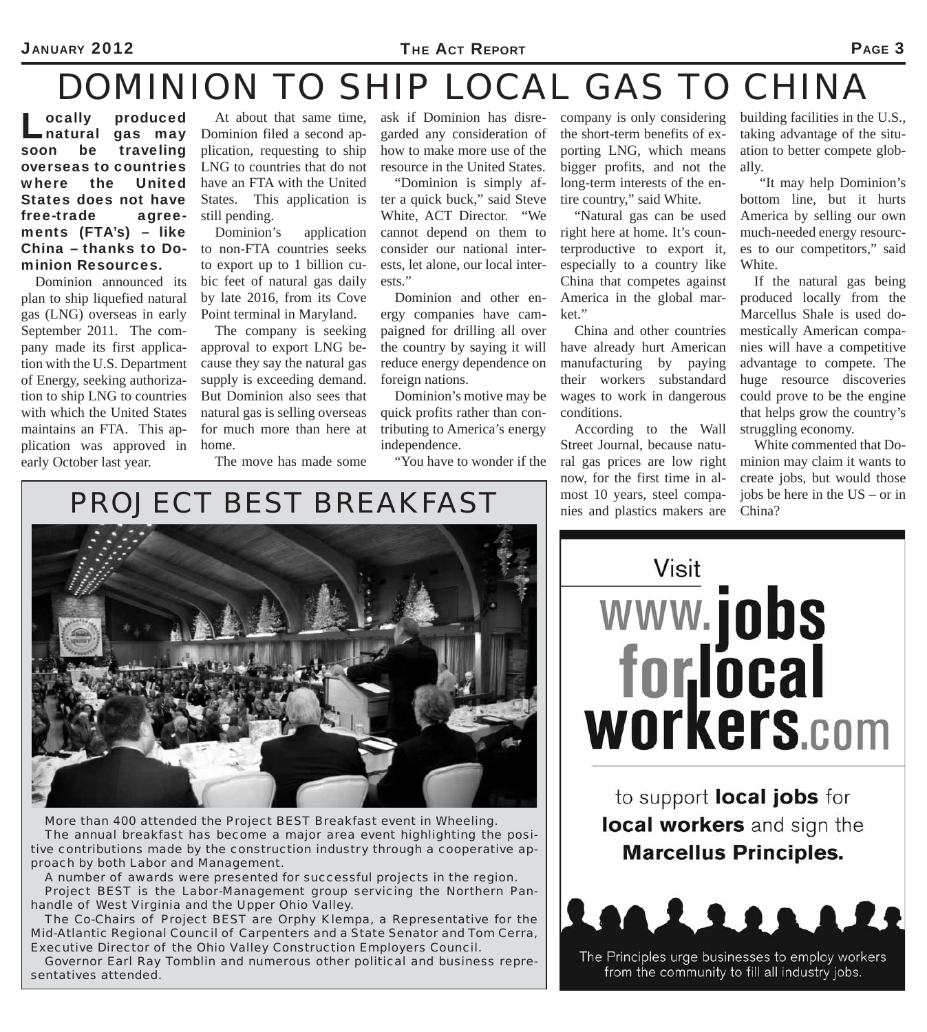#### JANUARY 2012 **PAGE 3**

### *DOMINION TO SHIP LOCAL GAS TO CHINA*

**Lacker School**<br> **Lacker School**<br>
soon be traveling gas may traveling overseas to countries where the United States does not have free-trade agreements (FTA's) – like China – thanks to Dominion Resources.

Dominion announced its plan to ship liquefied natural gas (LNG) overseas in early September 2011. The company made its first application with the U.S. Department of Energy, seeking authorization to ship LNG to countries with which the United States maintains an FTA. This application was approved in early October last year.

At about that same time, Dominion filed a second application, requesting to ship LNG to countries that do not have an FTA with the United States. This application is still pending.

Dominion's application to non-FTA countries seeks to export up to 1 billion cubic feet of natural gas daily by late 2016, from its Cove Point terminal in Maryland.

The company is seeking approval to export LNG because they say the natural gas supply is exceeding demand. But Dominion also sees that natural gas is selling overseas for much more than here at home.

The move has made some

ask if Dominion has disregarded any consideration of how to make more use of the resource in the United States.

"Dominion is simply after a quick buck," said Steve White, ACT Director. "We cannot depend on them to consider our national interests, let alone, our local interests."

Dominion and other energy companies have campaigned for drilling all over the country by saying it will reduce energy dependence on foreign nations.

Dominion's motive may be quick profits rather than contributing to America's energy independence.

"You have to wonder if the

company is only considering the short-term benefits of exporting LNG, which means bigger profits, and not the long-term interests of the entire country," said White.

"Natural gas can be used right here at home. It's counterproductive to export it, especially to a country like China that competes against America in the global market."

China and other countries have already hurt American manufacturing by paying their workers substandard wages to work in dangerous conditions.

According to the Wall Street Journal, because natural gas prices are low right now, for the first time in almost 10 years, steel companies and plastics makers are building facilities in the U.S., taking advantage of the situation to better compete globally.

 "It may help Dominion's bottom line, but it hurts America by selling our own much-needed energy resources to our competitors," said White.

If the natural gas being produced locally from the Marcellus Shale is used domestically American companies will have a competitive advantage to compete. The huge resource discoveries could prove to be the engine that helps grow the country's struggling economy.

White commented that Dominion may claim it wants to create jobs, but would those jobs be here in the US – or in China?

*PROJECT BEST BREAKFAST*



*More than 400 attended the Project BEST Breakfast event in Wheeling. The annual breakfast has become a major area event highlighting the positive contributions made by the construction industry through a cooperative approach by both Labor and Management.*

*A number of awards were presented for successful projects in the region. Project BEST is the Labor-Management group servicing the Northern Panhandle of West Virginia and the Upper Ohio Valley.* 

*The Co-Chairs of Project BEST are Orphy Klempa, a Representative for the Mid-Atlantic Regional Council of Carpenters and a State Senator and Tom Cerra, Executive Director of the Ohio Valley Construction Employers Council.* 

*Governor Earl Ray Tomblin and numerous other political and business representatives attended.*

**Visit** www.jobs<br>forlocal workers.com

to support local jobs for local workers and sign the **Marcellus Principles.** 



The Principles urge businesses to employ workers from the community to fill all industry jobs.